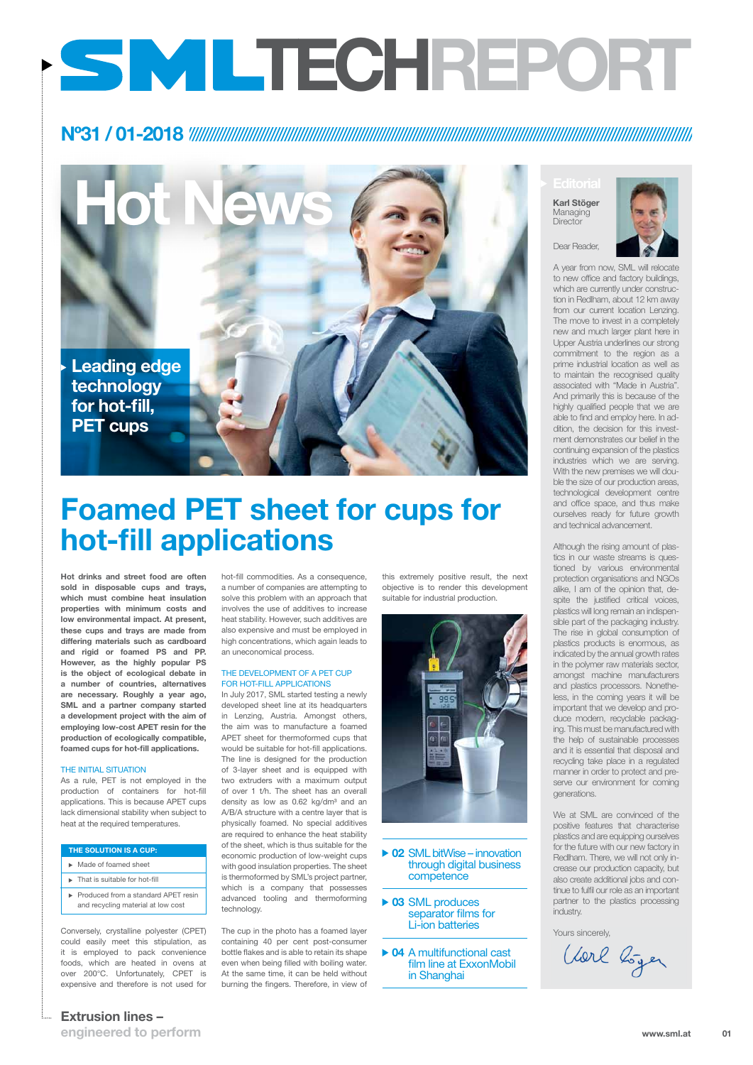### **Extrusion lines –**

**engineered to perform**



**Hot News**

Dear Reader,

A year from now, SML will relocate to new office and factory buildings, which are currently under construction in Redlham, about 12 km away from our current location Lenzing. The move to invest in a completely new and much larger plant here in Upper Austria underlines our strong commitment to the region as a prime industrial location as well as to maintain the recognised quality associated with "Made in Austria". And primarily this is because of the highly qualified people that we are able to find and employ here. In addition, the decision for this investment demonstrates our belief in the continuing expansion of the plastics industries which we are serving. With the new premises we will double the size of our production areas, technological development centre and office space, and thus make ourselves ready for future growth and technical advancement.

**Editorial Karl Stöger** Managing **Director** 



Although the rising amount of plastics in our waste streams is questioned by various environmental protection organisations and NGOs alike, I am of the opinion that, despite the justified critical voices, plastics will long remain an indispensible part of the packaging industry. The rise in global consumption of plastics products is enormous, as indicated by the annual growth rates in the polymer raw materials sector, amongst machine manufacturers and plastics processors. Nonetheless, in the coming years it will be important that we develop and produce modern, recyclable packaging. This must be manufactured with the help of sustainable processes and it is essential that disposal and recycling take place in a regulated manner in order to protect and preserve our environment for coming generations.

We at SML are convinced of the positive features that characterise plastics and are equipping ourselves for the future with our new factory in Redlham. There, we will not only increase our production capacity, but also create additional jobs and continue to fulfil our role as an important partner to the plastics processing industry.

Yours sincerely,

Vorl bijer

**Hot drinks and street food are often sold in disposable cups and trays, which must combine heat insulation properties with minimum costs and low environmental impact. At present, these cups and trays are made from differing materials such as cardboard and rigid or foamed PS and PP. However, as the highly popular PS is the object of ecological debate in a number of countries, alternatives are necessary. Roughly a year ago, SML and a partner company started a development project with the aim of employing low-cost APET resin for the production of ecologically compatible, foamed cups for hot-fill applications.**

### THE INITIAL SITUATION

### ▶ 02 SML bitWise – innovation through digital business competence

### ▶ 03 SML produces separator films for Li-ion batteries

As a rule, PET is not employed in the production of containers for hot-fill applications. This is because APET cups

lack dimensional stability when subject to heat at the required temperatures.

### Conversely, crystalline polyester (CPET) could easily meet this stipulation, as it is employed to pack convenience foods, which are heated in ovens at over 200°C. Unfortunately, CPET is expensive and therefore is not used for

hot-fill commodities. As a consequence, a number of companies are attempting to solve this problem with an approach that involves the use of additives to increase heat stability. However, such additives are also expensive and must be employed in high concentrations, which again leads to an uneconomical process.

### The development of a PET cup for hot-fill applications

In July 2017, SML started testing a newly developed sheet line at its headquarters in Lenzing, Austria. Amongst others, the aim was to manufacture a foamed APET sheet for thermoformed cups that would be suitable for hot-fill applications. The line is designed for the production of 3-layer sheet and is equipped with two extruders with a maximum output of over 1 t/h. The sheet has an overall density as low as  $0.62$  kg/dm<sup>3</sup> and an A/B/A structure with a centre layer that is physically foamed. No special additives are required to enhance the heat stability of the sheet, which is thus suitable for the economic production of low-weight cups with good insulation properties. The sheet is thermoformed by SML's project partner, which is a company that possesses advanced tooling and thermoforming technology.

The cup in the photo has a foamed layer containing 40 per cent post-consumer bottle flakes and is able to retain its shape even when being filled with boiling water. At the same time, it can be held without burning the fingers. Therefore, in view of this extremely positive result, the next objective is to render this development suitable for industrial production.



### **Nº31 / 01-2018**

## **Foamed PET sheet for cups for hot-fill applications**

# **TECHREport**

#### **The solution is a cup:**

- Made of foamed sheet
- $\blacktriangleright$  That is suitable for hot-fill
- Produced from a standard APET resin and recycling material at low cost

**04** A multifunctional cast film line at ExxonMobil in Shanghai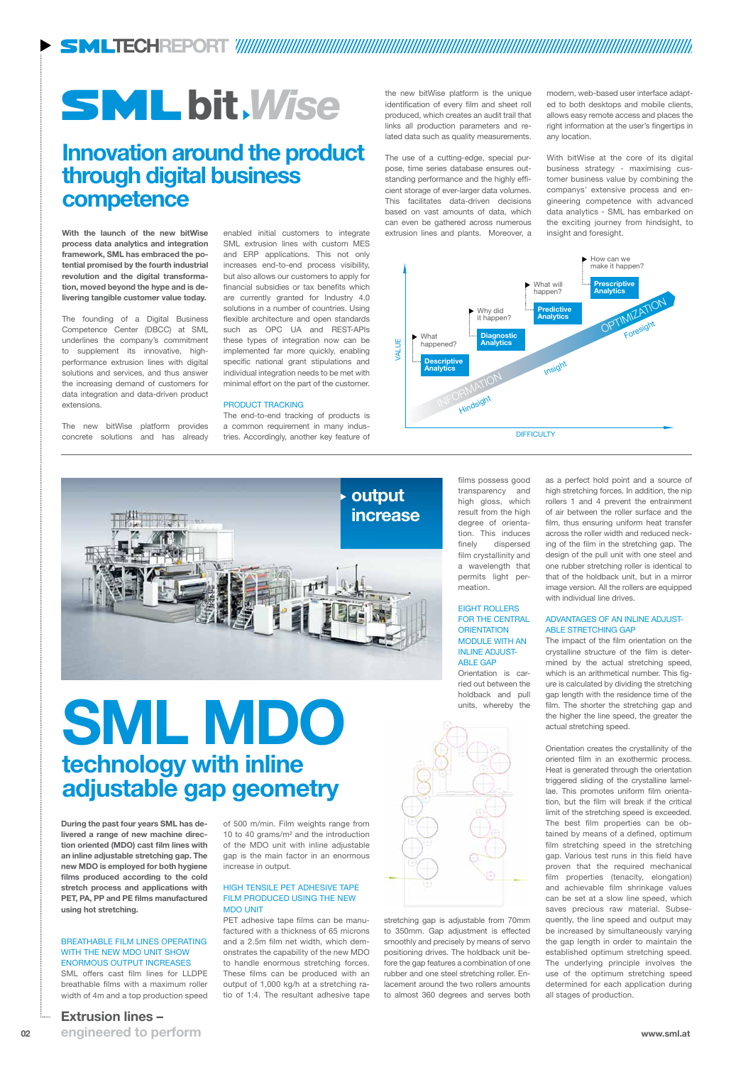**With the launch of the new bitWise process data analytics and integration framework, SML has embraced the potential promised by the fourth industrial revolution and the digital transformation, moved beyond the hype and is delivering tangible customer value today.**

The founding of a Digital Business Competence Center (DBCC) at SML underlines the company's commitment to supplement its innovative, highperformance extrusion lines with digital solutions and services, and thus answer the increasing demand of customers for data integration and data-driven product extensions.

The new bitWise platform provides concrete solutions and has already

enabled initial customers to integrate SML extrusion lines with custom MES and ERP applications. This not only increases end-to-end process visibility, but also allows our customers to apply for financial subsidies or tax benefits which are currently granted for Industry 4.0 solutions in a number of countries. Using flexible architecture and open standards such as OPC UA and REST-APIs these types of integration now can be implemented far more quickly, enabling specific national grant stipulations and individual integration needs to be met with minimal effort on the part of the customer.

### PRODUCT TRACKING

The end-to-end tracking of products is a common requirement in many industries. Accordingly, another key feature of

the new bitWise platform is the unique identification of every film and sheet roll produced, which creates an audit trail that links all production parameters and related data such as quality measurements.

### High tensile PET adhesive tape FILM PRODUCED USING THE NEW **MDO UNIT**

The use of a cutting-edge, special purpose, time series database ensures outstanding performance and the highly efficient storage of ever-larger data volumes. This facilitates data-driven decisions based on vast amounts of data, which can even be gathered across numerous extrusion lines and plants. Moreover, a

### Eight rollers for the central **ORIENTATION** module with an **INLINE ADJUST-ABLE GAP**

modern, web-based user interface adapted to both desktops and mobile clients, allows easy remote access and places the right information at the user's fingertips in any location.

With bitWise at the core of its digital business strategy - maximising customer business value by combining the companys' extensive process and engineering competence with advanced data analytics - SML has embarked on the exciting journey from hindsight, to insight and foresight.

### **TECHREport**

**During the past four years SML has delivered a range of new machine direction oriented (MDO) cast film lines with an inline adjustable stretching gap. The new MDO is employed for both hygiene films produced according to the cold stretch process and applications with PET, PA, PP and PE films manufactured using hot stretching.** 

### Breathable film lines operating WITH THE NEW MDO UNIT SHOW enormous output increases SML offers cast film lines for LLDPE

breathable films with a maximum roller width of 4m and a top production speed of 500 m/min. Film weights range from 10 to 40 grams/m² and the introduction of the MDO unit with inline adjustable gap is the main factor in an enormous increase in output.

**02 www.sml.at engineered to perform**

PET adhesive tape films can be manufactured with a thickness of 65 microns and a 2.5m film net width, which demonstrates the capability of the new MDO to handle enormous stretching forces. These films can be produced with an output of 1,000 kg/h at a stretching ratio of 1:4. The resultant adhesive tape

films possess good transparency and high gloss, which result from the high degree of orientation. This induces finely dispersed film crystallinity and a wavelength that permits light permeation.

Orientation is carried out between the holdback and pull units, whereby the



stretching gap is adjustable from 70mm to 350mm. Gap adjustment is effected smoothly and precisely by means of servo positioning drives. The holdback unit before the gap features a combination of one rubber and one steel stretching roller. Enlacement around the two rollers amounts to almost 360 degrees and serves both

**SML MDO technology with inline adjustable gap geometry**

as a perfect hold point and a source of high stretching forces. In addition, the nip rollers 1 and 4 prevent the entrainment of air between the roller surface and the film, thus ensuring uniform heat transfer across the roller width and reduced necking of the film in the stretching gap. The design of the pull unit with one steel and one rubber stretching roller is identical to that of the holdback unit, but in a mirror image version. All the rollers are equipped with individual line drives.

### Advantages of an inline adjustable stretching gap

The impact of the film orientation on the crystalline structure of the film is determined by the actual stretching speed, which is an arithmetical number. This figure is calculated by dividing the stretching gap length with the residence time of the film. The shorter the stretching gap and the higher the line speed, the greater the actual stretching speed.

Orientation creates the crystallinity of the oriented film in an exothermic process. Heat is generated through the orientation triggered sliding of the crystalline lamellae. This promotes uniform film orientation, but the film will break if the critical limit of the stretching speed is exceeded. The best film properties can be obtained by means of a defined, optimum film stretching speed in the stretching gap. Various test runs in this field have proven that the required mechanical film properties (tenacity, elongation) and achievable film shrinkage values can be set at a slow line speed, which saves precious raw material. Subsequently, the line speed and output may be increased by simultaneously varying the gap length in order to maintain the established optimum stretching speed. The underlying principle involves the use of the optimum stretching speed determined for each application during all stages of production.





## **Innovation around the product through digital business competence**

### **Extrusion lines –**

## bit *Wise*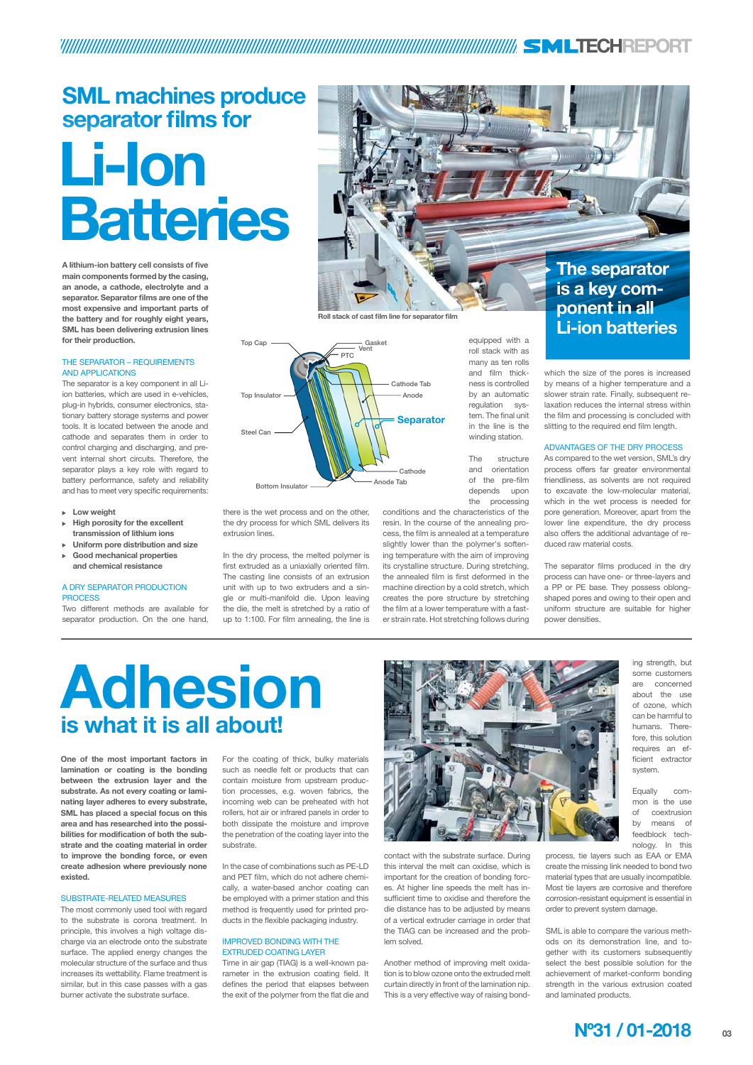

**One of the most important factors in lamination or coating is the bonding between the extrusion layer and the substrate. As not every coating or laminating layer adheres to every substrate, SML has placed a special focus on this area and has researched into the possibilities for modification of both the substrate and the coating material in order to improve the bonding force, or even create adhesion where previously none existed.**

#### Substrate-related measures

The most commonly used tool with regard to the substrate is corona treatment. In principle, this involves a high voltage discharge via an electrode onto the substrate surface. The applied energy changes the molecular structure of the surface and thus increases its wettability. Flame treatment is similar, but in this case passes with a gas burner activate the substrate surface.

For the coating of thick, bulky materials such as needle felt or products that can contain moisture from upstream production processes, e.g. woven fabrics, the incoming web can be preheated with hot rollers, hot air or infrared panels in order to both dissipate the moisture and improve the penetration of the coating layer into the substrate.

In the case of combinations such as PE-LD and PET film, which do not adhere chemically, a water-based anchor coating can be employed with a primer station and this method is frequently used for printed products in the flexible packaging industry.

### Improved bonding with the extruded coating layer

Time in air gap (TIAG) is a well-known parameter in the extrusion coating field. It defines the period that elapses between the exit of the polymer from the flat die and

### THE SEPARATOR - REQUIREMENTS and applications

contact with the substrate surface. During this interval the melt can oxidise, which is important for the creation of bonding forces. At higher line speeds the melt has insufficient time to oxidise and therefore the die distance has to be adjusted by means of a vertical extruder carriage in order that the TIAG can be increased and the problem solved.

### A dry separator production **PROCESS**

Another method of improving melt oxidation is to blow ozone onto the extruded melt curtain directly in front of the lamination nip. This is a very effective way of raising bond-



ing strength, but some customers are concerned about the use of ozone, which can be harmful to humans. Therefore, this solution requires an efficient extractor system.

Equally common is the use

of coextrusion by means of feedblock technology. In this

process, tie layers such as EAA or EMA create the missing link needed to bond two material types that are usually incompatible. Most tie layers are corrosive and therefore corrosion-resistant equipment is essential in order to prevent system damage.

SML is able to compare the various methods on its demonstration line, and together with its customers subsequently select the best possible solution for the achievement of market-conform bonding strength in the various extrusion coated and laminated products.

## **Adhesion is what it is all about!**

### **THE SECH REPORT**

## **SML machines produce separator films for**

**A lithium-ion battery cell consists of five main components formed by the casing, an anode, a cathode, electrolyte and a separator. Separator films are one of the most expensive and important parts of the battery and for roughly eight years, SML has been delivering extrusion lines for their production.**

The separator is a key component in all Liion batteries, which are used in e-vehicles, plug-in hybrids, consumer electronics, stationary battery storage systems and power tools. It is located between the anode and cathode and separates them in order to control charging and discharging, and prevent internal short circuits. Therefore, the separator plays a key role with regard to battery performance, safety and reliability and has to meet very specific requirements:

- **Low weight**
- **High porosity for the excellent transmission of lithium ions**
- **Uniform pore distribution and size**
- **Good mechanical properties and chemical resistance**

Two different methods are available for separator production. On the one hand,

there is the wet process and on the other, the dry process for which SML delivers its extrusion lines.

In the dry process, the melted polymer is first extruded as a uniaxially oriented film. The casting line consists of an extrusion unit with up to two extruders and a single or multi-manifold die. Upon leaving the die, the melt is stretched by a ratio of up to 1:100. For film annealing, the line is

equipped with a roll stack with as many as ten rolls and film thickness is controlled by an automatic regulation system. The final unit in the line is the winding station.

The structure and orientation of the pre-film depends upon the processing

conditions and the characteristics of the resin. In the course of the annealing process, the film is annealed at a temperature slightly lower than the polymer's softening temperature with the aim of improving its crystalline structure. During stretching, the annealed film is first deformed in the machine direction by a cold stretch, which creates the pore structure by stretching the film at a lower temperature with a faster strain rate. Hot stretching follows during

which the size of the pores is increased by means of a higher temperature and a slower strain rate. Finally, subsequent relaxation reduces the internal stress within the film and processing is concluded with slitting to the required end film length.

### Advantages of the dry process

As compared to the wet version, SML's dry process offers far greater environmental friendliness, as solvents are not required to excavate the low-molecular material, which in the wet process is needed for pore generation. Moreover, apart from the lower line expenditure, the dry process also offers the additional advantage of reduced raw material costs.

The separator films produced in the dry process can have one- or three-layers and a PP or PE base. They possess oblongshaped pores and owing to their open and uniform structure are suitable for higher power densities.



## **Li-Ion Batteries**

**is a key component in all Li-ion batteries**



**Roll stack of cast film line for separator film**